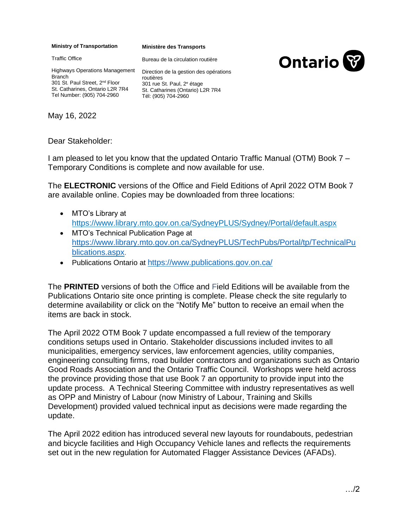## **Ministry of Transportation**

**Ministère des Transports**

Bureau de la circulation routière



Highways Operations Management Branch 301 St. Paul Street, 2<sup>nd</sup> Floor St. Catharines, Ontario L2R 7R4 Tel Number: (905) 704-2960

Direction de la gestion des opérations routières 301 rue St. Paul, 2<sup>e</sup> étage St. Catharines (Ontario) L2R 7R4 Tél: (905) 704-2960

May 16, 2022

Traffic Office

Dear Stakeholder:

I am pleased to let you know that the updated Ontario Traffic Manual (OTM) Book 7 – Temporary Conditions is complete and now available for use.

The **ELECTRONIC** versions of the Office and Field Editions of April 2022 OTM Book 7 are available online. Copies may be downloaded from three locations:

- MTO's Library at https://www.library.mto.gov.on.ca/SydneyPLUS/Sydney/Portal/default.aspx
- MTO's Technical Publication Page at https://www.library.mto.gov.on.ca/SydneyPLUS/TechPubs/Portal/tp/TechnicalPu blications.aspx.
- Publications Ontario at https://www.publications.gov.on.ca/

The **PRINTED** versions of both the Office and Field Editions will be available from the Publications Ontario site once printing is complete. Please check the site regularly to determine availability or click on the "Notify Me" button to receive an email when the items are back in stock.

The April 2022 OTM Book 7 update encompassed a full review of the temporary conditions setups used in Ontario. Stakeholder discussions included invites to all municipalities, emergency services, law enforcement agencies, utility companies, engineering consulting firms, road builder contractors and organizations such as Ontario Good Roads Association and the Ontario Traffic Council. Workshops were held across the province providing those that use Book 7 an opportunity to provide input into the update process. A Technical Steering Committee with industry representatives as well as OPP and Ministry of Labour (now Ministry of Labour, Training and Skills Development) provided valued technical input as decisions were made regarding the update.

The April 2022 edition has introduced several new layouts for roundabouts, pedestrian and bicycle facilities and High Occupancy Vehicle lanes and reflects the requirements set out in the new regulation for Automated Flagger Assistance Devices (AFADs).